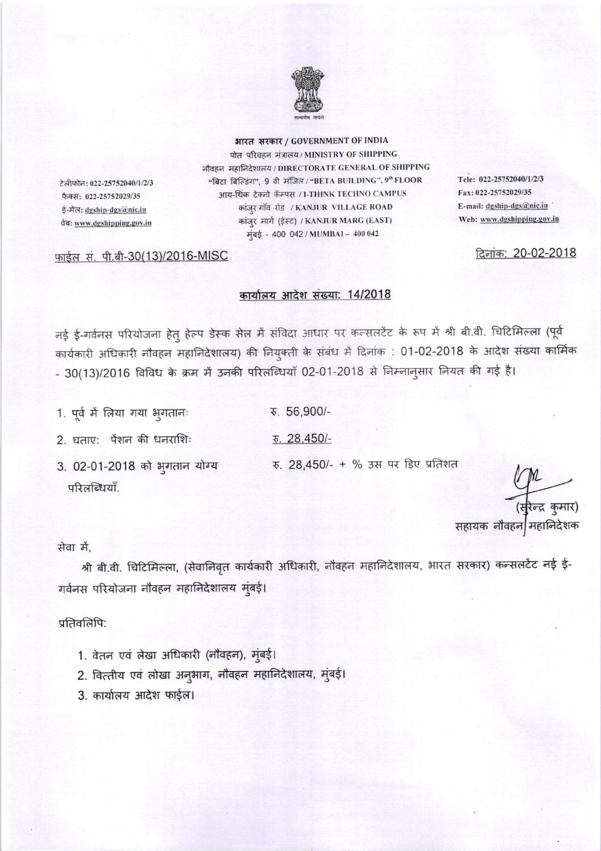

भारत सरकार / GOVERNMENT OF INDIA पोत परिवहन मंत्रालय/MINISTRY OF SHIPPING नौवहन महानिदेशालय / DIRECTORATE GENERAL OF SHIPPING "बिटा बिल्डिंग", 9 वी मंजिल / "BETA BUILDING", 9th FLOOR आय-थिंक टेक्नो कॅम्पस / I-THINK TECHNO CAMPUS कांज़ूर गॉव रोड / KANJUR VILLAGE ROAD कांजुर मार्ग (ईस्ट) / KANJUR MARG (EAST) मुंबई - 400 042 / MUMBAI - 400 042

Tele: 022-25752040/1/2/3 Fax: 022-25752029/35 E-mail: dgship-dgs@nic.in Web: www.dgshipping.gov.in

दिनांक: 20-02-2018

फाईल सं. पी.बी-30(13)/2016-MISC

टेलीफोन: 022-25752040/1/2/3

फैक्स: 022-25752029/35

ई-मेल: dgship-dgs@nic.in

वेबः www.dgshipping.gov.in

## कार्यालय आदेश संख्या: 14/2018

नई ई-गर्वनस परियोजना हेतु हेल्प डेस्क सेल में संविदा आधार पर कन्सलटेंट के रूप में श्री बी.वी. चिटिमिल्ला (पूर्व कार्यकारी अधिकारी नौवहन महानिदेशालय) की नियुक्ती के संबंध में दिनांक : 01-02-2018 के आदेश संख्या कार्मिक - 30(13)/2016 विविध के क्रम में उनकी परिलब्धियाँ 02-01-2018 से निम्नानुसार नियत की गई है।

- 1. पूर्व में लिया गया भुगतानः ₹. 56,900/-
- 2. घताए: पेंशन की धनराशिः  $\overline{x}$ . 28,450/-
- 3. 02-01-2018 को भुगतान योग्य परिलब्धियाँ.

रु. 28,450/- + % उस पर डिए प्रतिशत

सहायक नौवहन|महानिदेशक

## सेवा में.

श्री बी.वी. चिटिमिल्ला, (सेवानिवृत कार्यकारी अधिकारी, नौवहन महानिदेशालय, भारत सरकार) कन्सलटेंट नई ई-गर्वनस परियोजना नौवहन महानिदेशालय मुंबई।

## प्रतिवलिपि:

- 1. वेतन एवं लेखा अधिकारी (नौवहन), मुंबई।
- 2. वित्तीय एवं लोखा अनुभाग, नौवहन महानिदेशालय, मुंबई।
- 3. कार्यालय आदेश फाईल।